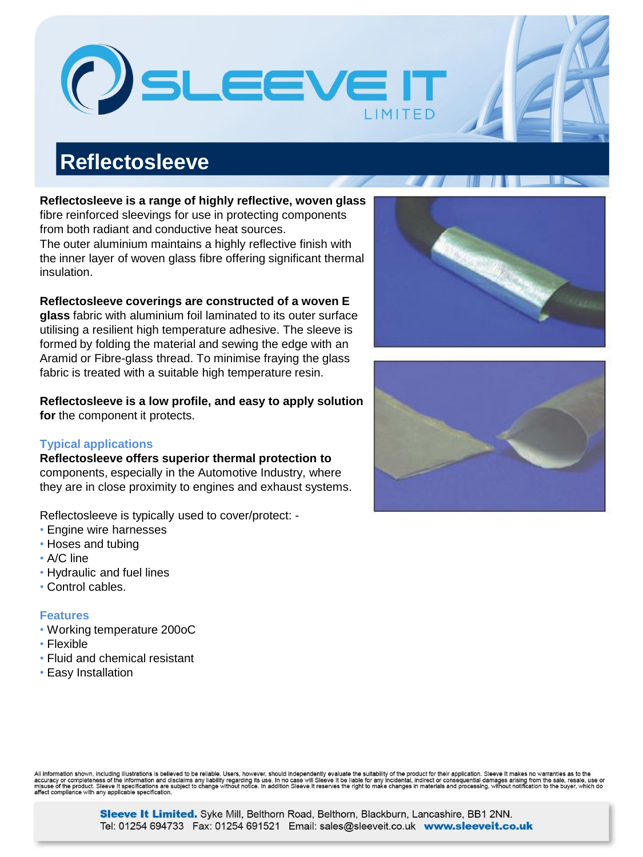All information shown, including illustrations is believed to be reliable. Users, however, should independently evaluate the suitability of the product for their application. Sleeve It makes no warranties as to the<br>accurac

# **Reflectosleeve**

**Reflectosleeve is a range of highly reflective, woven glass** 

LEEVEI

fibre reinforced sleevings for use in protecting components from both radiant and conductive heat sources. The outer aluminium maintains a highly reflective finish with the inner layer of woven glass fibre offering significant thermal insulation.

#### **Reflectosleeve coverings are constructed of a woven E**

**glass** fabric with aluminium foil laminated to its outer surface utilising a resilient high temperature adhesive. The sleeve is formed by folding the material and sewing the edge with an Aramid or Fibre-glass thread. To minimise fraying the glass fabric is treated with a suitable high temperature resin.

**Reflectosleeve is a low profile, and easy to apply solution for** the component it protects.

## **Typical applications**

**Reflectosleeve offers superior thermal protection to** components, especially in the Automotive Industry, where they are in close proximity to engines and exhaust systems.

Reflectosleeve is typically used to cover/protect: -

- Engine wire harnesses
- Hoses and tubing
- A/C line
- Hydraulic and fuel lines
- Control cables.

## **Features**

- Working temperature 200oC
- Flexible
- Fluid and chemical resistant
- Easy Installation